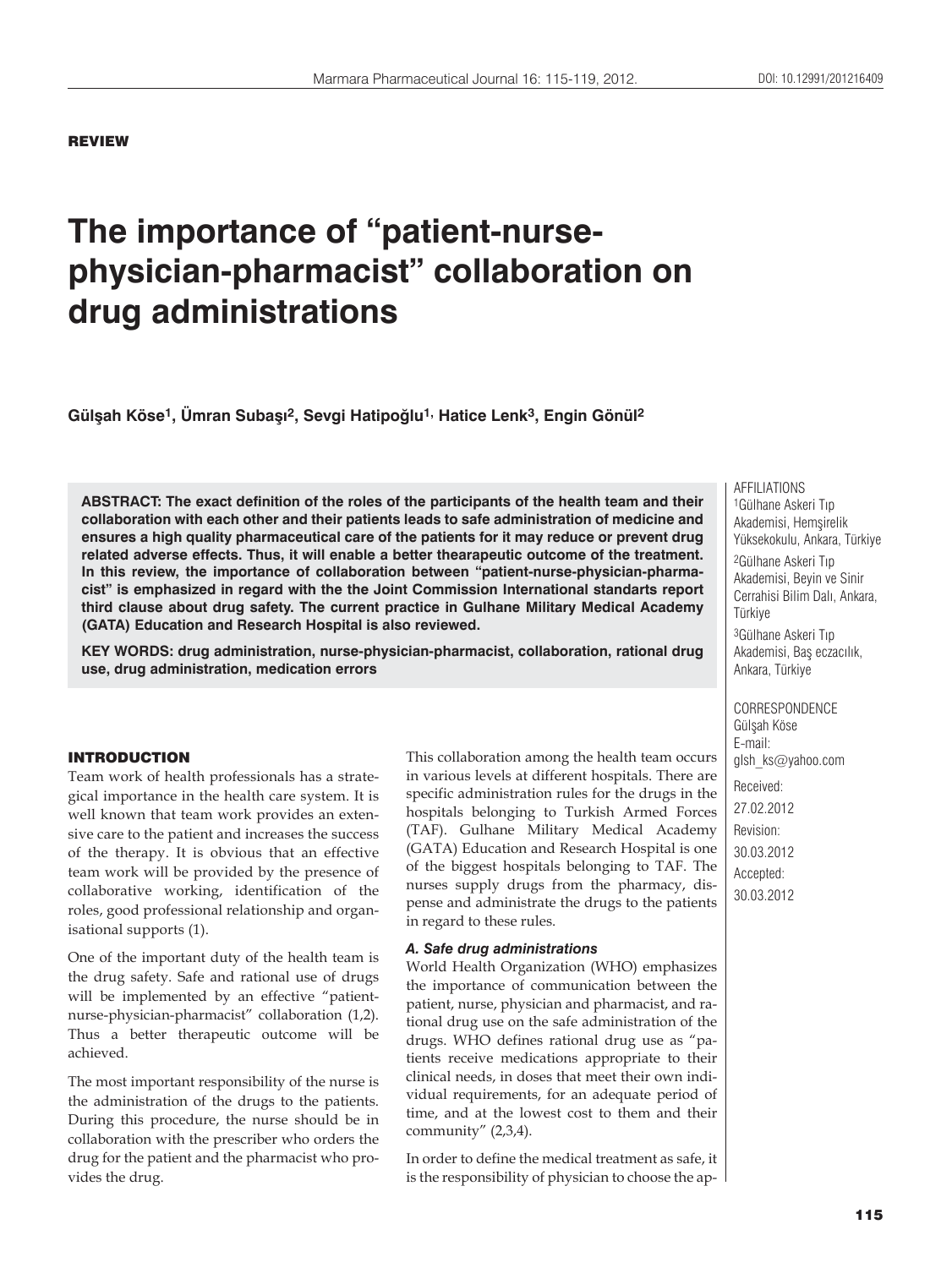## REVIEW

# **The importance of "patient-nursephysician-pharmacist" collaboration on drug administrations**

**Gülşah Köse1, Ümran Subaşı2, Sevgi Hatipoğlu1, Hatice Lenk3, Engin Gönül2**

**ABSTRACT: The exact definition of the roles of the participants of the health team and their collaboration with each other and their patients leads to safe administration of medicine and ensures a high quality pharmaceutical care of the patients for it may reduce or prevent drug related adverse effects. Thus, it will enable a better thearapeutic outcome of the treatment. In this review, the importance of collaboration between "patient-nurse-physician-pharmacist" is emphasized in regard with the the Joint Commission International standarts report third clause about drug safety. The current practice in Gulhane Military Medical Academy (GATA) Education and Research Hospital is also reviewed.**

**KEY WORDS: drug administration, nurse-physician-pharmacist, collaboration, rational drug use, drug administration, medication errors**

## INTRODUCTION

Team work of health professionals has a strategical importance in the health care system. It is well known that team work provides an extensive care to the patient and increases the success of the therapy. It is obvious that an effective team work will be provided by the presence of collaborative working, identification of the roles, good professional relationship and organisational supports (1).

One of the important duty of the health team is the drug safety. Safe and rational use of drugs will be implemented by an effective "patientnurse-physician-pharmacist" collaboration (1,2). Thus a better therapeutic outcome will be achieved.

The most important responsibility of the nurse is the administration of the drugs to the patients. During this procedure, the nurse should be in collaboration with the prescriber who orders the drug for the patient and the pharmacist who provides the drug.

This collaboration among the health team occurs in various levels at different hospitals. There are specific administration rules for the drugs in the hospitals belonging to Turkish Armed Forces (TAF). Gulhane Military Medical Academy (GATA) Education and Research Hospital is one of the biggest hospitals belonging to TAF. The nurses supply drugs from the pharmacy, dispense and administrate the drugs to the patients in regard to these rules.

#### *A. Safe drug administrations*

World Health Organization (WHO) emphasizes the importance of communication between the patient, nurse, physician and pharmacist, and rational drug use on the safe administration of the drugs. WHO defines rational drug use as "patients receive medications appropriate to their clinical needs, in doses that meet their own individual requirements, for an adequate period of time, and at the lowest cost to them and their community" (2,3,4).

In order to define the medical treatment as safe, it is the responsibility of physician to choose the apAFFILIATIONS 1Gülhane Askeri Tıp Akademisi, Hemşirelik Yüksekokulu, Ankara, Türkiye 2Gülhane Askeri Tıp Akademisi, Beyin ve Sinir Cerrahisi Bilim Dalı, Ankara, Türkiye 3Gülhane Askeri Tıp Akademisi, Baş eczacılık, Ankara, Türkiye

CORRESPONDENCE Gülşah Köse E-mail: glsh\_ks@yahoo.com

Received: 27.02.2012 Revision: 30.03.2012 Accepted: 30.03.2012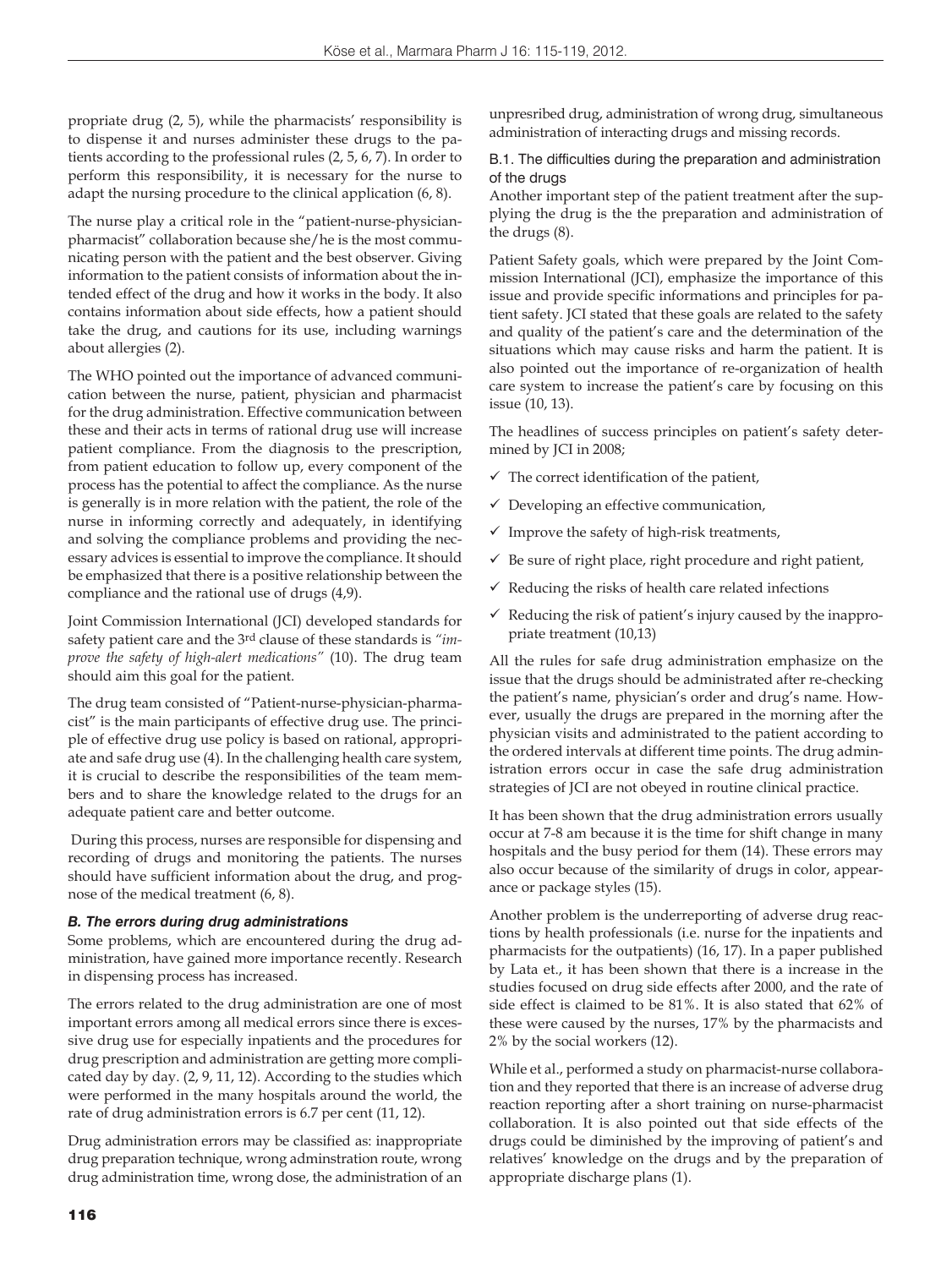propriate drug (2, 5), while the pharmacists' responsibility is to dispense it and nurses administer these drugs to the patients according to the professional rules (2, 5, 6, 7). In order to perform this responsibility, it is necessary for the nurse to adapt the nursing procedure to the clinical application (6, 8).

The nurse play a critical role in the "patient-nurse-physicianpharmacist" collaboration because she/he is the most communicating person with the patient and the best observer. Giving information to the patient consists of information about the intended effect of the drug and how it works in the body. It also contains information about side effects, how a patient should take the drug, and cautions for its use, including warnings about allergies (2).

The WHO pointed out the importance of advanced communication between the nurse, patient, physician and pharmacist for the drug administration. Effective communication between these and their acts in terms of rational drug use will increase patient compliance. From the diagnosis to the prescription, from patient education to follow up, every component of the process has the potential to affect the compliance. As the nurse is generally is in more relation with the patient, the role of the nurse in informing correctly and adequately, in identifying and solving the compliance problems and providing the necessary advices is essential to improve the compliance. It should be emphasized that there is a positive relationship between the compliance and the rational use of drugs (4,9).

Joint Commission International (JCI) developed standards for safety patient care and the 3rd clause of these standards is *"improve the safety of high-alert medications"* (10). The drug team should aim this goal for the patient.

The drug team consisted of "Patient-nurse-physician-pharmacist" is the main participants of effective drug use. The principle of effective drug use policy is based on rational, appropriate and safe drug use (4). In the challenging health care system, it is crucial to describe the responsibilities of the team members and to share the knowledge related to the drugs for an adequate patient care and better outcome.

 During this process, nurses are responsible for dispensing and recording of drugs and monitoring the patients. The nurses should have sufficient information about the drug, and prognose of the medical treatment (6, 8).

#### *B. The errors during drug administrations*

Some problems, which are encountered during the drug administration, have gained more importance recently. Research in dispensing process has increased.

The errors related to the drug administration are one of most important errors among all medical errors since there is excessive drug use for especially inpatients and the procedures for drug prescription and administration are getting more complicated day by day. (2, 9, 11, 12). According to the studies which were performed in the many hospitals around the world, the rate of drug administration errors is 6.7 per cent (11, 12).

Drug administration errors may be classified as: inappropriate drug preparation technique, wrong adminstration route, wrong drug administration time, wrong dose, the administration of an

unpresribed drug, administration of wrong drug, simultaneous administration of interacting drugs and missing records.

B.1. The difficulties during the preparation and administration of the drugs

Another important step of the patient treatment after the supplying the drug is the the preparation and administration of the drugs (8).

Patient Safety goals, which were prepared by the Joint Commission International (JCI), emphasize the importance of this issue and provide specific informations and principles for patient safety. JCI stated that these goals are related to the safety and quality of the patient's care and the determination of the situations which may cause risks and harm the patient. It is also pointed out the importance of re-organization of health care system to increase the patient's care by focusing on this issue (10, 13).

The headlines of success principles on patient's safety determined by JCI in 2008;

- $\checkmark$  The correct identification of the patient,
- $\checkmark$  Developing an effective communication,
- $\checkmark$  Improve the safety of high-risk treatments,
- $\checkmark$  Be sure of right place, right procedure and right patient,
- $\checkmark$  Reducing the risks of health care related infections
- $\checkmark$  Reducing the risk of patient's injury caused by the inappropriate treatment (10,13)

All the rules for safe drug administration emphasize on the issue that the drugs should be administrated after re-checking the patient's name, physician's order and drug's name. However, usually the drugs are prepared in the morning after the physician visits and administrated to the patient according to the ordered intervals at different time points. The drug administration errors occur in case the safe drug administration strategies of JCI are not obeyed in routine clinical practice.

It has been shown that the drug administration errors usually occur at 7-8 am because it is the time for shift change in many hospitals and the busy period for them (14). These errors may also occur because of the similarity of drugs in color, appearance or package styles (15).

Another problem is the underreporting of adverse drug reactions by health professionals (i.e. nurse for the inpatients and pharmacists for the outpatients) (16, 17). In a paper published by Lata et., it has been shown that there is a increase in the studies focused on drug side effects after 2000, and the rate of side effect is claimed to be 81%. It is also stated that 62% of these were caused by the nurses, 17% by the pharmacists and 2% by the social workers (12).

While et al., performed a study on pharmacist-nurse collaboration and they reported that there is an increase of adverse drug reaction reporting after a short training on nurse-pharmacist collaboration. It is also pointed out that side effects of the drugs could be diminished by the improving of patient's and relatives' knowledge on the drugs and by the preparation of appropriate discharge plans (1).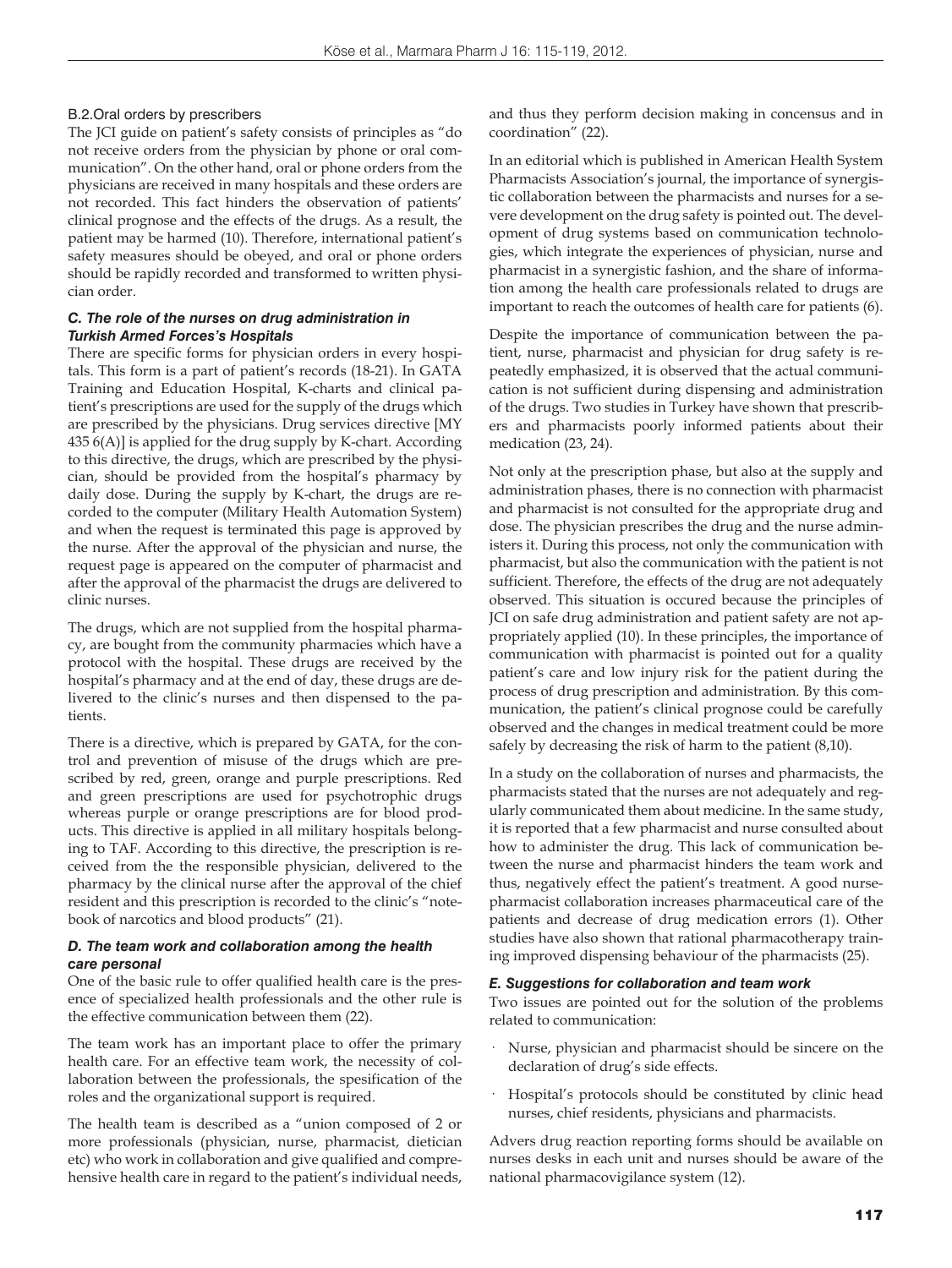#### B.2.Oral orders by prescribers

The JCI guide on patient's safety consists of principles as "do not receive orders from the physician by phone or oral communication". On the other hand, oral or phone orders from the physicians are received in many hospitals and these orders are not recorded. This fact hinders the observation of patients' clinical prognose and the effects of the drugs. As a result, the patient may be harmed (10). Therefore, international patient's safety measures should be obeyed, and oral or phone orders should be rapidly recorded and transformed to written physician order.

## *C. The role of the nurses on drug administration in Turkish Armed Forces's Hospitals*

There are specific forms for physician orders in every hospitals. This form is a part of patient's records (18-21). In GATA Training and Education Hospital, K-charts and clinical patient's prescriptions are used for the supply of the drugs which are prescribed by the physicians. Drug services directive [MY 435 6(A)] is applied for the drug supply by K-chart. According to this directive, the drugs, which are prescribed by the physician, should be provided from the hospital's pharmacy by daily dose. During the supply by K-chart, the drugs are recorded to the computer (Military Health Automation System) and when the request is terminated this page is approved by the nurse. After the approval of the physician and nurse, the request page is appeared on the computer of pharmacist and after the approval of the pharmacist the drugs are delivered to clinic nurses.

The drugs, which are not supplied from the hospital pharmacy, are bought from the community pharmacies which have a protocol with the hospital. These drugs are received by the hospital's pharmacy and at the end of day, these drugs are delivered to the clinic's nurses and then dispensed to the patients.

There is a directive, which is prepared by GATA, for the control and prevention of misuse of the drugs which are prescribed by red, green, orange and purple prescriptions. Red and green prescriptions are used for psychotrophic drugs whereas purple or orange prescriptions are for blood products. This directive is applied in all military hospitals belonging to TAF. According to this directive, the prescription is received from the the responsible physician, delivered to the pharmacy by the clinical nurse after the approval of the chief resident and this prescription is recorded to the clinic's "notebook of narcotics and blood products" (21).

#### *D. The team work and collaboration among the health care personal*

One of the basic rule to offer qualified health care is the presence of specialized health professionals and the other rule is the effective communication between them (22).

The team work has an important place to offer the primary health care. For an effective team work, the necessity of collaboration between the professionals, the spesification of the roles and the organizational support is required.

The health team is described as a "union composed of 2 or more professionals (physician, nurse, pharmacist, dietician etc) who work in collaboration and give qualified and comprehensive health care in regard to the patient's individual needs,

and thus they perform decision making in concensus and in coordination" (22).

In an editorial which is published in American Health System Pharmacists Association's journal, the importance of synergistic collaboration between the pharmacists and nurses for a severe development on the drug safety is pointed out. The development of drug systems based on communication technologies, which integrate the experiences of physician, nurse and pharmacist in a synergistic fashion, and the share of information among the health care professionals related to drugs are important to reach the outcomes of health care for patients (6).

Despite the importance of communication between the patient, nurse, pharmacist and physician for drug safety is repeatedly emphasized, it is observed that the actual communication is not sufficient during dispensing and administration of the drugs. Two studies in Turkey have shown that prescribers and pharmacists poorly informed patients about their medication (23, 24).

Not only at the prescription phase, but also at the supply and administration phases, there is no connection with pharmacist and pharmacist is not consulted for the appropriate drug and dose. The physician prescribes the drug and the nurse administers it. During this process, not only the communication with pharmacist, but also the communication with the patient is not sufficient. Therefore, the effects of the drug are not adequately observed. This situation is occured because the principles of JCI on safe drug administration and patient safety are not appropriately applied (10). In these principles, the importance of communication with pharmacist is pointed out for a quality patient's care and low injury risk for the patient during the process of drug prescription and administration. By this communication, the patient's clinical prognose could be carefully observed and the changes in medical treatment could be more safely by decreasing the risk of harm to the patient (8,10).

In a study on the collaboration of nurses and pharmacists, the pharmacists stated that the nurses are not adequately and regularly communicated them about medicine. In the same study, it is reported that a few pharmacist and nurse consulted about how to administer the drug. This lack of communication between the nurse and pharmacist hinders the team work and thus, negatively effect the patient's treatment. A good nursepharmacist collaboration increases pharmaceutical care of the patients and decrease of drug medication errors (1). Other studies have also shown that rational pharmacotherapy training improved dispensing behaviour of the pharmacists (25).

#### *E. Suggestions for collaboration and team work*

Two issues are pointed out for the solution of the problems related to communication:

- Nurse, physician and pharmacist should be sincere on the declaration of drug's side effects.
- Hospital's protocols should be constituted by clinic head nurses, chief residents, physicians and pharmacists.

Advers drug reaction reporting forms should be available on nurses desks in each unit and nurses should be aware of the national pharmacovigilance system (12).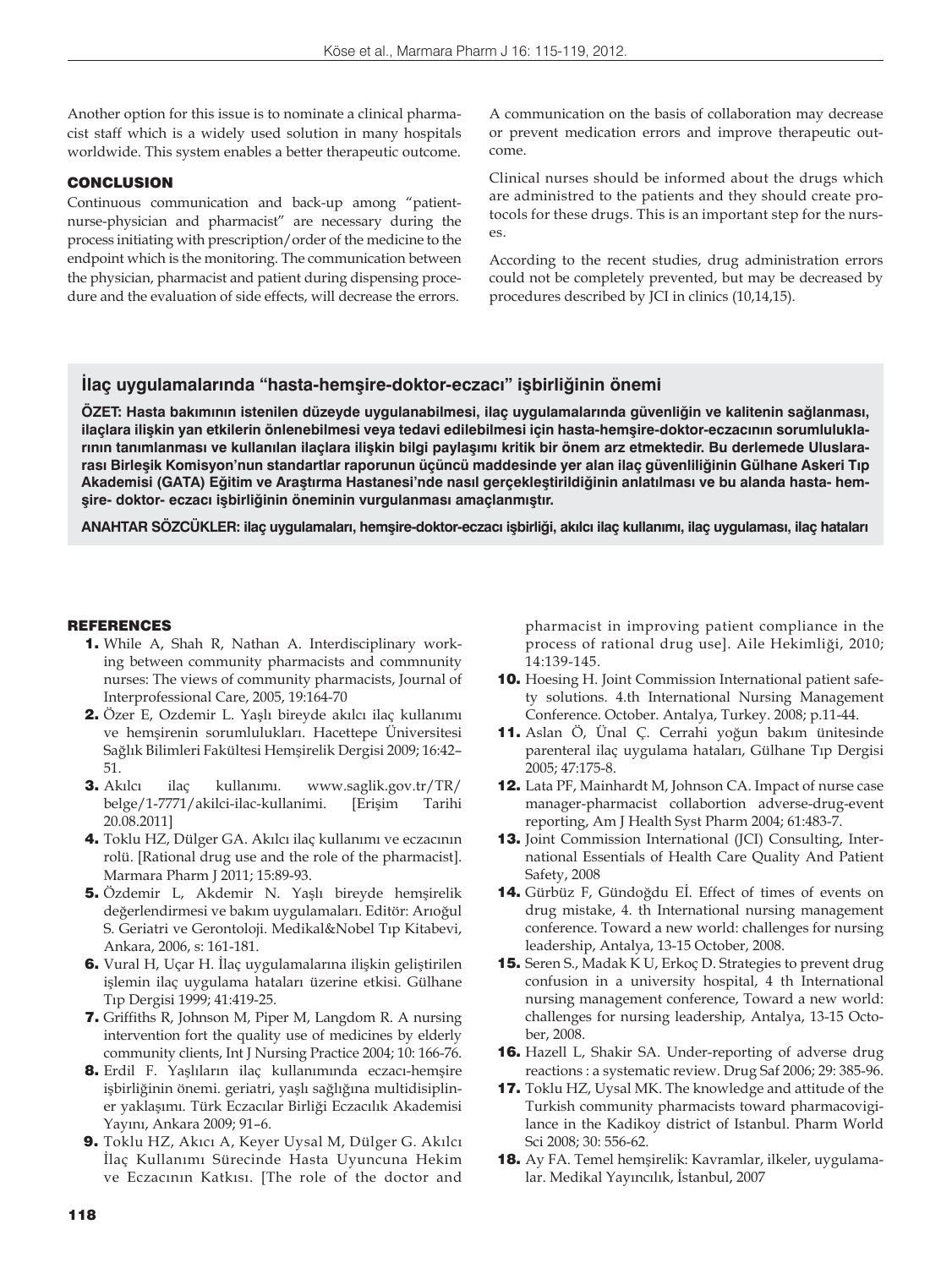Another option for this issue is to nominate a clinical pharmacist staff which is a widely used solution in many hospitals worldwide. This system enables a better therapeutic outcome.

## **CONCLUSION**

Continuous communication and back-up among "patientnurse-physician and pharmacist" are necessary during the process initiating with prescription/order of the medicine to the endpoint which is the monitoring. The communication between the physician, pharmacist and patient during dispensing procedure and the evaluation of side effects, will decrease the errors.

A communication on the basis of collaboration may decrease or prevent medication errors and improve therapeutic outcome.

Clinical nurses should be informed about the drugs which are administred to the patients and they should create protocols for these drugs. This is an important step for the nurses.

According to the recent studies, drug administration errors could not be completely prevented, but may be decreased by procedures described by JCI in clinics (10,14,15).

## **İlaç uygulamalarında "hasta-hemşire-doktor-eczacı" işbirliğinin önemi**

**ÖZET: Hasta bakımının istenilen düzeyde uygulanabilmesi, ilaç uygulamalarında güvenliğin ve kalitenin sağlanması, ilaçlara ilişkin yan etkilerin önlenebilmesi veya tedavi edilebilmesi için hasta-hemşire-doktor-eczacının sorumluluklarının tanımlanması ve kullanılan ilaçlara ilişkin bilgi paylaşımı kritik bir önem arz etmektedir. Bu derlemede Uluslararası Birleşik Komisyon'nun standartlar raporunun üçüncü maddesinde yer alan ilaç güvenliliğinin Gülhane Askeri Tıp Akademisi (GATA) Eğitim ve Araştırma Hastanesi'nde nasıl gerçekleştirildiğinin anlatılması ve bu alanda hasta- hemşire- doktor- eczacı işbirliğinin öneminin vurgulanması amaçlanmıştır.**

**ANAHTAR SÖZCÜKLER: ilaç uygulamaları, hemşire-doktor-eczacı işbirliği, akılcı ilaç kullanımı, ilaç uygulaması, ilaç hataları**

## REFERENCES

- 1. While A, Shah R, Nathan A. Interdisciplinary working between community pharmacists and commnunity nurses: The views of community pharmacists, Journal of Interprofessional Care, 2005, 19:164-70
- 2. Özer E, Ozdemir L. Yaşlı bireyde akılcı ilaç kullanımı ve hemşirenin sorumlulukları. Hacettepe Üniversitesi Sağlık Bilimleri Fakültesi Hemşirelik Dergisi 2009; 16:42– 51.
- 3. Akılcı ilaç kullanımı. www.saglik.gov.tr/TR/ belge/1-7771/akilci-ilac-kullanimi. [Erişim Tarihi 20.08.2011]
- 4. Toklu HZ, Dülger GA. Akılcı ilaç kullanımı ve eczacının rolü. [Rational drug use and the role of the pharmacist]. Marmara Pharm J 2011; 15:89-93.
- 5. Özdemir L, Akdemir N. Yaşlı bireyde hemşirelik değerlendirmesi ve bakım uygulamaları. Editör: Arıoğul S. Geriatri ve Gerontoloji. Medikal&Nobel Tıp Kitabevi, Ankara, 2006, s: 161-181.
- 6. Vural H, Uçar H. İlaç uygulamalarına ilişkin geliştirilen işlemin ilaç uygulama hataları üzerine etkisi. Gülhane Tıp Dergisi 1999; 41:419-25.
- 7. Griffiths R, Johnson M, Piper M, Langdom R. A nursing intervention fort the quality use of medicines by elderly community clients, Int J Nursing Practice 2004; 10: 166-76.
- 8. Erdil F. Yaşlıların ilaç kullanımında eczacı-hemşire işbirliğinin önemi. geriatri, yaşlı sağlığına multidisipliner yaklaşımı. Türk Eczacılar Birliği Eczacılık Akademisi Yayını, Ankara 2009; 91–6.
- 9. Toklu HZ, Akıcı A, Keyer Uysal M, Dülger G. Akılcı İlaç Kullanımı Sürecinde Hasta Uyuncuna Hekim ve Eczacının Katkısı. [The role of the doctor and

pharmacist in improving patient compliance in the process of rational drug use]. Aile Hekimliği, 2010; 14:139-145.

- 10. Hoesing H. Joint Commission International patient safety solutions. 4.th International Nursing Management Conference. October. Antalya, Turkey. 2008; p.11-44.
- 11. Aslan Ö, Ünal Ç. Cerrahi yoğun bakım ünitesinde parenteral ilaç uygulama hataları, Gülhane Tıp Dergisi 2005; 47:175-8.
- 12. Lata PF, Mainhardt M, Johnson CA. Impact of nurse case manager-pharmacist collabortion adverse-drug-event reporting, Am J Health Syst Pharm 2004; 61:483-7.
- 13. Joint Commission International (JCI) Consulting, International Essentials of Health Care Quality And Patient Safety, 2008
- 14. Gürbüz F, Gündoğdu Eİ. Effect of times of events on drug mistake, 4. th International nursing management conference. Toward a new world: challenges for nursing leadership, Antalya, 13-15 October, 2008.
- 15. Seren S., Madak K U, Erkoç D. Strategies to prevent drug confusion in a university hospital, 4 th International nursing management conference, Toward a new world: challenges for nursing leadership, Antalya, 13-15 October, 2008.
- 16. Hazell L, Shakir SA. Under-reporting of adverse drug reactions : a systematic review. Drug Saf 2006; 29: 385-96.
- 17. Toklu HZ, Uysal MK. The knowledge and attitude of the Turkish community pharmacists toward pharmacovigilance in the Kadikoy district of Istanbul. Pharm World Sci 2008; 30: 556-62.
- 18. Ay FA. Temel hemşirelik: Kavramlar, ilkeler, uygulamalar. Medikal Yayıncılık, İstanbul, 2007